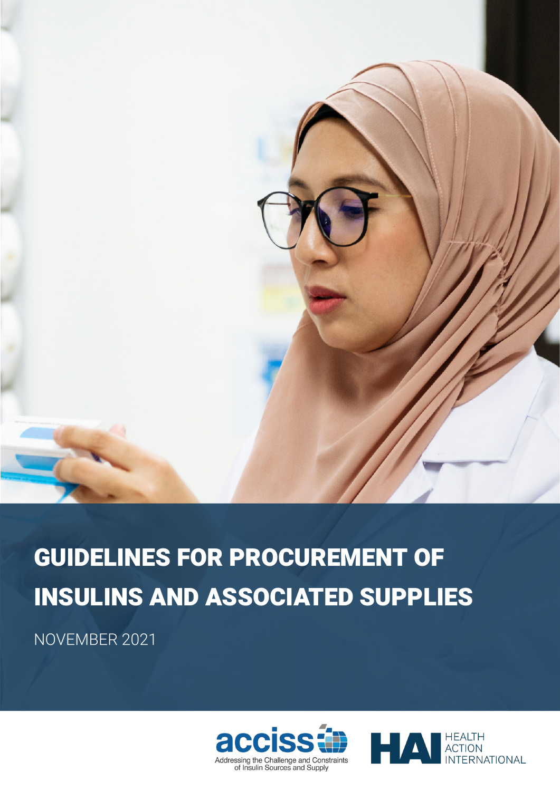

# GUIDELINES FOR PROCUREMENT OF INSULINS AND ASSOCIATED SUPPLIES

NOVEMBER 2021



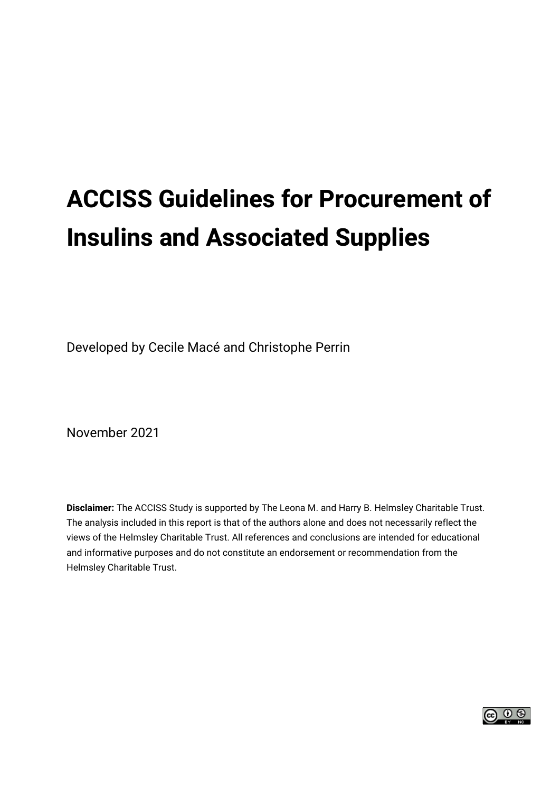# **ACCISS Guidelines for Procurement of Insulins and Associated Supplies**

Developed by Cecile Macé and Christophe Perrin

November 2021

**Disclaimer:** The ACCISS Study is supported by The Leona M. and Harry B. Helmsley Charitable Trust. The analysis included in this report is that of the authors alone and does not necessarily reflect the views of the Helmsley Charitable Trust. All references and conclusions are intended for educational and informative purposes and do not constitute an endorsement or recommendation from the Helmsley Charitable Trust.

െ ⊚ ⊚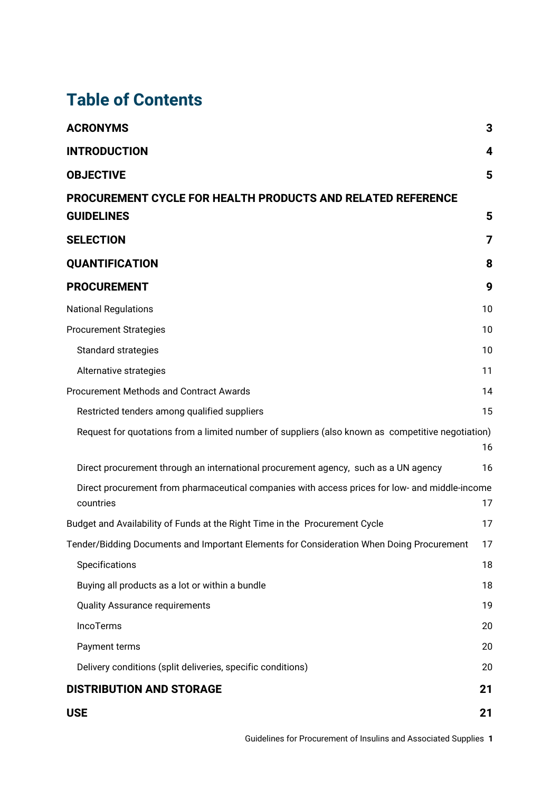## **Table of Contents**

| <b>ACRONYMS</b>                                                                                             | 3                       |
|-------------------------------------------------------------------------------------------------------------|-------------------------|
| <b>INTRODUCTION</b>                                                                                         | $\overline{\mathbf{4}}$ |
| <b>OBJECTIVE</b>                                                                                            | 5                       |
| PROCUREMENT CYCLE FOR HEALTH PRODUCTS AND RELATED REFERENCE                                                 |                         |
| <b>GUIDELINES</b>                                                                                           | 5                       |
| <b>SELECTION</b>                                                                                            | 7                       |
| <b>QUANTIFICATION</b>                                                                                       | 8                       |
| <b>PROCUREMENT</b>                                                                                          | 9                       |
| <b>National Regulations</b>                                                                                 | 10                      |
| <b>Procurement Strategies</b>                                                                               | 10                      |
| Standard strategies                                                                                         | 10                      |
| Alternative strategies                                                                                      | 11                      |
| <b>Procurement Methods and Contract Awards</b>                                                              | 14                      |
| Restricted tenders among qualified suppliers                                                                | 15                      |
| Request for quotations from a limited number of suppliers (also known as competitive negotiation)           | 16                      |
| Direct procurement through an international procurement agency, such as a UN agency                         | 16                      |
| Direct procurement from pharmaceutical companies with access prices for low- and middle-income<br>countries | 17                      |
| Budget and Availability of Funds at the Right Time in the Procurement Cycle                                 | 17                      |
| Tender/Bidding Documents and Important Elements for Consideration When Doing Procurement                    | 17                      |
| Specifications                                                                                              | 18                      |
| Buying all products as a lot or within a bundle                                                             | 18                      |
| <b>Quality Assurance requirements</b>                                                                       | 19                      |
| IncoTerms                                                                                                   | 20                      |
| Payment terms                                                                                               | 20                      |
| Delivery conditions (split deliveries, specific conditions)                                                 | 20                      |
| <b>DISTRIBUTION AND STORAGE</b>                                                                             | 21                      |
| <b>USE</b>                                                                                                  | 21                      |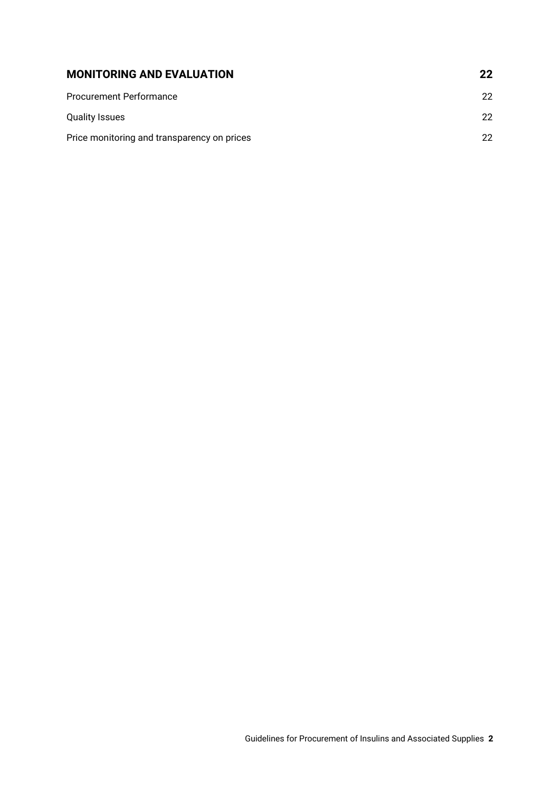| <b>MONITORING AND EVALUATION</b>            | 22 |
|---------------------------------------------|----|
| <b>Procurement Performance</b>              | 22 |
| <b>Quality Issues</b>                       | 22 |
| Price monitoring and transparency on prices | 22 |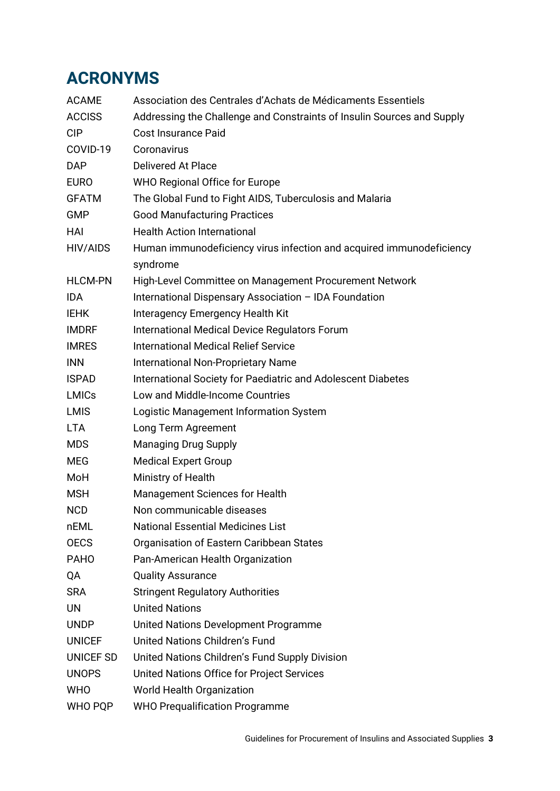## <span id="page-4-0"></span>**ACRONYMS**

| <b>ACAME</b>   | Association des Centrales d'Achats de Médicaments Essentiels           |
|----------------|------------------------------------------------------------------------|
| <b>ACCISS</b>  | Addressing the Challenge and Constraints of Insulin Sources and Supply |
| <b>CIP</b>     | <b>Cost Insurance Paid</b>                                             |
| COVID-19       | Coronavirus                                                            |
| <b>DAP</b>     | <b>Delivered At Place</b>                                              |
| <b>EURO</b>    | <b>WHO Regional Office for Europe</b>                                  |
| <b>GFATM</b>   | The Global Fund to Fight AIDS, Tuberculosis and Malaria                |
| <b>GMP</b>     | <b>Good Manufacturing Practices</b>                                    |
| HAI            | <b>Health Action International</b>                                     |
| HIV/AIDS       | Human immunodeficiency virus infection and acquired immunodeficiency   |
|                | syndrome                                                               |
| <b>HLCM-PN</b> | High-Level Committee on Management Procurement Network                 |
| <b>IDA</b>     | International Dispensary Association - IDA Foundation                  |
| <b>IEHK</b>    | Interagency Emergency Health Kit                                       |
| <b>IMDRF</b>   | International Medical Device Regulators Forum                          |
| <b>IMRES</b>   | <b>International Medical Relief Service</b>                            |
| <b>INN</b>     | <b>International Non-Proprietary Name</b>                              |
| <b>ISPAD</b>   | International Society for Paediatric and Adolescent Diabetes           |
| <b>LMICs</b>   | Low and Middle-Income Countries                                        |
| <b>LMIS</b>    | Logistic Management Information System                                 |
| <b>LTA</b>     | Long Term Agreement                                                    |
| <b>MDS</b>     | <b>Managing Drug Supply</b>                                            |
| <b>MEG</b>     | <b>Medical Expert Group</b>                                            |
| MoH            | Ministry of Health                                                     |
| <b>MSH</b>     | Management Sciences for Health                                         |
| <b>NCD</b>     | Non communicable diseases                                              |
| nEML           | <b>National Essential Medicines List</b>                               |
| <b>OECS</b>    | Organisation of Eastern Caribbean States                               |
| <b>PAHO</b>    | Pan-American Health Organization                                       |
| QA             | <b>Quality Assurance</b>                                               |
| <b>SRA</b>     | <b>Stringent Regulatory Authorities</b>                                |
| <b>UN</b>      | <b>United Nations</b>                                                  |
| <b>UNDP</b>    | United Nations Development Programme                                   |
| <b>UNICEF</b>  | United Nations Children's Fund                                         |
| UNICEF SD      | United Nations Children's Fund Supply Division                         |
| <b>UNOPS</b>   | United Nations Office for Project Services                             |
| <b>WHO</b>     | World Health Organization                                              |
| WHO PQP        | <b>WHO Prequalification Programme</b>                                  |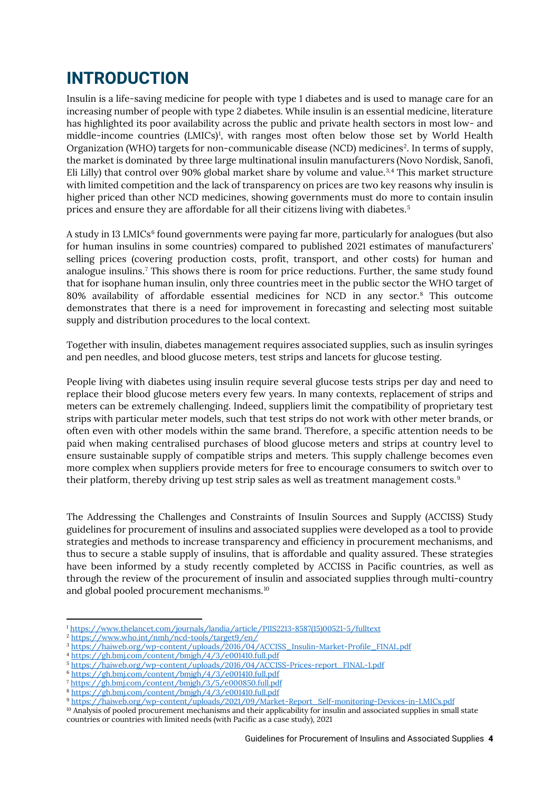## <span id="page-5-0"></span>**INTRODUCTION**

Insulin is a life-saving medicine for people with type 1 diabetes and is used to manage care for an increasing number of people with type 2 diabetes. While insulin is an essential medicine, literature has highlighted its poor availability across the public and private health sectors in most low- and middle-income countries (LMICs)[1](#page-5-1) , with ranges most often below those set by World Health Organization (WHO) targets for non-communicable disease (NCD) medicines<sup>[2](#page-5-2)</sup>. In terms of supply, the market is dominated by three large multinational insulin manufacturers (Novo Nordisk, Sanofi, Eli Lilly) that control over  $90\%$  global market share by volume and value.<sup>[3,](#page-5-3)[4](#page-5-4)</sup> This market structure with limited competition and the lack of transparency on prices are two key reasons why insulin is higher priced than other NCD medicines, showing governments must do more to contain insulin prices and ensure they are affordable for all their citizens living with diabetes.[5](#page-5-5)

A study in 13 LMICs<sup>[6](#page-5-6)</sup> found governments were paying far more, particularly for analogues (but also for human insulins in some countries) compared to published 2021 estimates of manufacturers' selling prices (covering production costs, profit, transport, and other costs) for human and analogue insulins.[7](#page-5-7) This shows there is room for price reductions. Further, the same study found that for isophane human insulin, only three countries meet in the public sector the WHO target of 80% availability of affordable essential medicines for NCD in any sector. [8](#page-5-8) This outcome demonstrates that there is a need for improvement in forecasting and selecting most suitable supply and distribution procedures to the local context.

Together with insulin, diabetes management requires associated supplies, such as insulin syringes and pen needles, and blood glucose meters, test strips and lancets for glucose testing.

People living with diabetes using insulin require several glucose tests strips per day and need to replace their blood glucose meters every few years. In many contexts, replacement of strips and meters can be extremely challenging. Indeed, suppliers limit the compatibility of proprietary test strips with particular meter models, such that test strips do not work with other meter brands, or often even with other models within the same brand. Therefore, a specific attention needs to be paid when making centralised purchases of blood glucose meters and strips at country level to ensure sustainable supply of compatible strips and meters. This supply challenge becomes even more complex when suppliers provide meters for free to encourage consumers to switch over to their platform, thereby driving up test strip sales as well as treatment management costs.[9](#page-5-9)

The Addressing the Challenges and Constraints of Insulin Sources and Supply (ACCISS) Study guidelines for procurement of insulins and associated supplies were developed as a tool to provide strategies and methods to increase transparency and efficiency in procurement mechanisms, and thus to secure a stable supply of insulins, that is affordable and quality assured. These strategies have been informed by a study recently completed by ACCISS in Pacific countries, as well as through the review of the procurement of insulin and associated supplies through multi-country and global pooled procurement mechanisms.[10](#page-5-10)

<span id="page-5-1"></span><sup>1</sup> [https://www.thelancet.com/journals/landia/article/PIIS2213-8587\(15\)00521-5/fulltext](https://www.thelancet.com/journals/landia/article/PIIS2213-8587(15)00521-5/fulltext)

<span id="page-5-2"></span><sup>2</sup> <https://www.who.int/nmh/ncd-tools/target9/en/>

<span id="page-5-3"></span><sup>3</sup> [https://haiweb.org/wp-content/uploads/2016/04/ACCISS\\_Insulin-Market-Profile\\_FINAL.pdf](https://haiweb.org/wp-content/uploads/2016/04/ACCISS_Insulin-Market-Profile_FINAL.pdf)

<span id="page-5-4"></span><sup>4</sup> <https://gh.bmj.com/content/bmjgh/4/3/e001410.full.pdf>

<span id="page-5-5"></span><sup>5</sup> [https://haiweb.org/wp-content/uploads/2016/04/ACCISS-Prices-report\\_FINAL-1.pdf](https://haiweb.org/wp-content/uploads/2016/04/ACCISS-Prices-report_FINAL-1.pdf)

<span id="page-5-6"></span><sup>6</sup> <https://gh.bmj.com/content/bmjgh/4/3/e001410.full.pdf>

<span id="page-5-7"></span><sup>7</sup> <https://gh.bmj.com/content/bmjgh/3/5/e000850.full.pdf>

<span id="page-5-8"></span><sup>8</sup> <https://gh.bmj.com/content/bmjgh/4/3/e001410.full.pdf>

<span id="page-5-9"></span><sup>9</sup> [https://haiweb.org/wp-content/uploads/2021/09/Market-Report\\_Self-monitoring-Devices-in-LMICs.pdf](https://haiweb.org/wp-content/uploads/2021/09/Market-Report_Self-monitoring-Devices-in-LMICs.pdf)

<span id="page-5-10"></span><sup>&</sup>lt;sup>10</sup> Analysis of pooled procurement mechanisms and their applicability for insulin and associated supplies in small state countries or countries with limited needs (with Pacific as a case study), 2021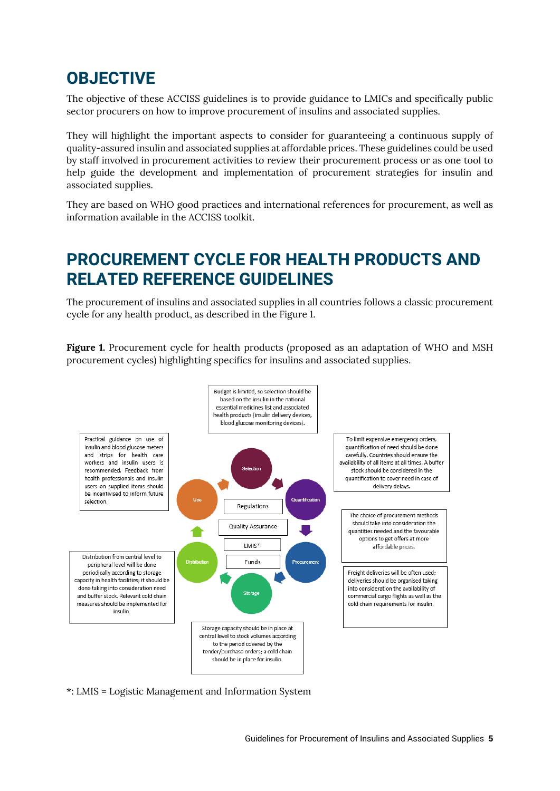## <span id="page-6-0"></span>**OBJECTIVE**

The objective of these ACCISS guidelines is to provide guidance to LMICs and specifically public sector procurers on how to improve procurement of insulins and associated supplies.

They will highlight the important aspects to consider for guaranteeing a continuous supply of quality-assured insulin and associated supplies at affordable prices. These guidelines could be used by staff involved in procurement activities to review their procurement process or as one tool to help guide the development and implementation of procurement strategies for insulin and associated supplies.

<span id="page-6-1"></span>They are based on WHO good practices and international references for procurement, as well as information available in the ACCISS toolkit.

## **PROCUREMENT CYCLE FOR HEALTH PRODUCTS AND RELATED REFERENCE GUIDELINES**

The procurement of insulins and associated supplies in all countries follows a classic procurement cycle for any health product, as described in the Figure 1.

**Figure 1.** Procurement cycle for health products (proposed as an adaptation of WHO and MSH procurement cycles) highlighting specifics for insulins and associated supplies.



\*: LMIS = Logistic Management and Information System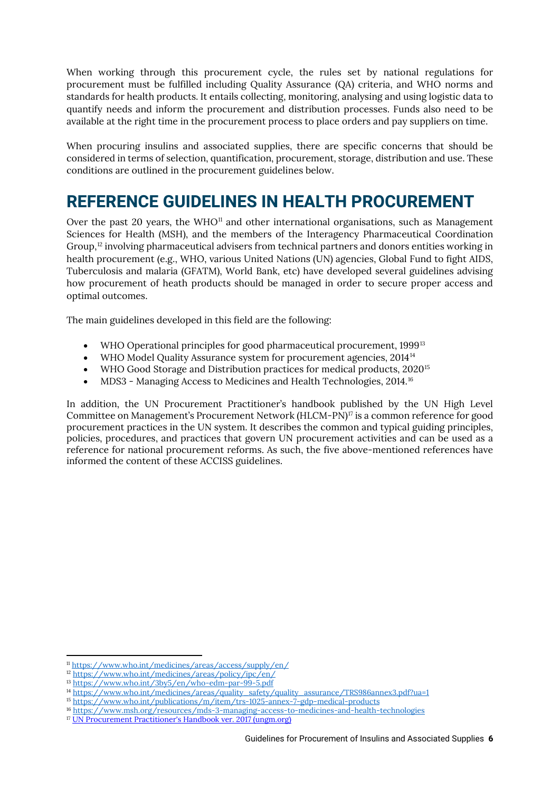When working through this procurement cycle, the rules set by national regulations for procurement must be fulfilled including Quality Assurance (QA) criteria, and WHO norms and standards for health products. It entails collecting, monitoring, analysing and using logistic data to quantify needs and inform the procurement and distribution processes. Funds also need to be available at the right time in the procurement process to place orders and pay suppliers on time.

When procuring insulins and associated supplies, there are specific concerns that should be considered in terms of selection, quantification, procurement, storage, distribution and use. These conditions are outlined in the procurement guidelines below.

## **REFERENCE GUIDELINES IN HEALTH PROCUREMENT**

Over the past 20 years, the WHO<sup>[11](#page-7-0)</sup> and other international organisations, such as Management Sciences for Health (MSH), and the members of the Interagency Pharmaceutical Coordination Group, [12](#page-7-1) involving pharmaceutical advisers from technical partners and donors entities working in health procurement (e.g., WHO, various United Nations (UN) agencies, Global Fund to fight AIDS, Tuberculosis and malaria (GFATM), World Bank, etc) have developed several guidelines advising how procurement of heath products should be managed in order to secure proper access and optimal outcomes.

The main guidelines developed in this field are the following:

- WHO Operational principles for good pharmaceutical procurement, 1999<sup>[13](#page-7-2)</sup>
- WHO Model Quality Assurance system for procurement agencies, 20[14](#page-7-3)<sup>14</sup>
- WHO Good Storage and Distribution practices for medical products, 2020<sup>[15](#page-7-4)</sup>
- MDS3 Managing Access to Medicines and Health Technologies, 2014.<sup>[16](#page-7-5)</sup>

In addition, the UN Procurement Practitioner's handbook published by the UN High Level Committee on Management's Procurement Network (HLCM-PN)<sup>[17](#page-7-6)</sup> is a common reference for good procurement practices in the UN system. It describes the common and typical guiding principles, policies, procedures, and practices that govern UN procurement activities and can be used as a reference for national procurement reforms. As such, the five above-mentioned references have informed the content of these ACCISS guidelines.

<span id="page-7-0"></span><sup>11</sup> <https://www.who.int/medicines/areas/access/supply/en/>

<span id="page-7-1"></span> $\frac{12 \text{ https://www.who.int/medicines/areas/policy/ipc/en/}}{2 \text{ https://www.who.int/medicines/areas/policy/ipc/en/}}$  $\frac{12 \text{ https://www.who.int/medicines/areas/policy/ipc/en/}}{2 \text{ https://www.who.int/medicines/areas/policy/ipc/en/}}$  $\frac{12 \text{ https://www.who.int/medicines/areas/policy/ipc/en/}}{2 \text{ https://www.who.int/medicines/areas/policy/ipc/en/}}$ 

<span id="page-7-2"></span><sup>13</sup> <https://www.who.int/3by5/en/who-edm-par-99-5.pdf>

<span id="page-7-3"></span><sup>&</sup>lt;sup>14</sup> [https://www.who.int/medicines/areas/quality\\_safety/quality\\_assurance/TRS986annex3.pdf?ua=1](https://www.who.int/medicines/areas/quality_safety/quality_assurance/TRS986annex3.pdf?ua=1)

<span id="page-7-4"></span><sup>15</sup> <https://www.who.int/publications/m/item/trs-1025-annex-7-gdp-medical-products>

<span id="page-7-5"></span><sup>16</sup> <https://www.msh.org/resources/mds-3-managing-access-to-medicines-and-health-technologies>

<span id="page-7-6"></span><sup>17</sup> [UN Procurement Practitioner's Handbook ver. 2017 \(ungm.org\)](https://www.ungm.org/Shared/KnowledgeCenter/Pages/PPH2)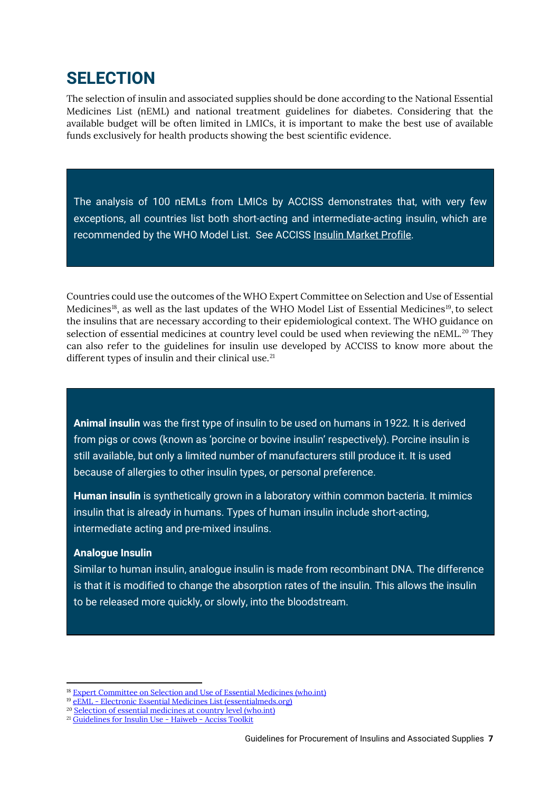## <span id="page-8-0"></span>**SELECTION**

The selection of insulin and associated supplies should be done according to the National Essential Medicines List (nEML) and national treatment guidelines for diabetes. Considering that the available budget will be often limited in LMICs, it is important to make the best use of available funds exclusively for health products showing the best scientific evidence.

The analysis of 100 nEMLs from LMICs by ACCISS demonstrates that, with very few exceptions, all countries list both short-acting and intermediate-acting insulin, which are recommended by the WHO Model List. See ACCISS [Insulin Market Profile.](https://haiweb.org/wp-content/uploads/2016/04/ACCISS_Insulin-Market-Profile_FINAL.pdf)

Countries could use the outcomes of the WHO Expert Committee on Selection and Use of Essential Medicines<sup>[18](#page-8-1)</sup>, as well as the last updates of the WHO Model List of Essential Medicines<sup>19</sup>, to select the insulins that are necessary according to their epidemiological context. The WHO guidance on selection of essential medicines at country level could be used when reviewing the nEML.<sup>[20](#page-8-3)</sup> They can also refer to the guidelines for insulin use developed by ACCISS to know more about the different types of insulin and their clinical use.<sup>[21](#page-8-4)</sup>

**Animal insulin** was the first type of insulin to be used on humans in 1922. It is derived from pigs or cows (known as 'porcine or bovine insulin' respectively). Porcine insulin is still available, but only a limited number of manufacturers still produce it. It is used because of allergies to other insulin types, or personal preference.

**Human insulin** is synthetically grown in a laboratory within common bacteria. It mimics insulin that is already in humans. Types of human insulin include short-acting, intermediate acting and pre-mixed insulins.

### **Analogue Insulin**

Similar to human insulin, analogue insulin is made from recombinant DNA. The difference is that it is modified to change the absorption rates of the insulin. This allows the insulin to be released more quickly, or slowly, into the bloodstream.

<sup>&</sup>lt;sup>18</sup> [Expert Committee on Selection and Use of Essential Medicines \(who.int\)](https://www.who.int/groups/expert-committee-on-selection-and-use-of-essential-medicines)

<span id="page-8-2"></span><span id="page-8-1"></span><sup>19</sup> eEML - [Electronic Essential Medicines List \(essentialmeds.org\)](https://list.essentialmeds.org/)

<sup>&</sup>lt;sup>20</sup> [Selection of essential medicines at country level \(who.int\)](https://www.who.int/publications/i/item/9789241515443)

<span id="page-8-4"></span><span id="page-8-3"></span><sup>21</sup> [Guidelines for Insulin Use -](https://accisstoolkit.haiweb.org/selection/guidelines-for-insulin-use/) Haiweb - Acciss Toolkit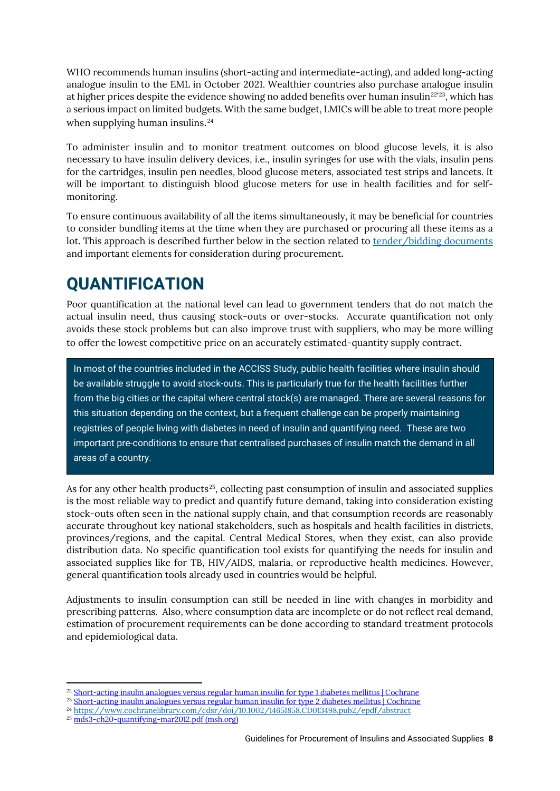WHO recommends human insulins (short-acting and intermediate-acting), and added long-acting analogue insulin to the EML in October 2021. Wealthier countries also purchase analogue insulin at higher prices despite the evidence showing no added benefits over human insulin $^{22^\mathrm{223}},$  which has a serious impact on limited budgets. With the same budget, LMICs will be able to treat more people when supplying human insulins.<sup>[24](#page-9-3)</sup>

To administer insulin and to monitor treatment outcomes on blood glucose levels, it is also necessary to have insulin delivery devices, i.e., insulin syringes for use with the vials, insulin pens for the cartridges, insulin pen needles, blood glucose meters, associated test strips and lancets. It will be important to distinguish blood glucose meters for use in health facilities and for selfmonitoring.

To ensure continuous availability of all the items simultaneously, it may be beneficial for countries to consider bundling items at the time when they are purchased or procuring all these items as a lot. This approach is described further below in the section related to [tender/bidding documents](#page-18-2) and important elements for consideration during procurement**.**

## <span id="page-9-0"></span>**QUANTIFICATION**

Poor quantification at the national level can lead to government tenders that do not match the actual insulin need, thus causing stock-outs or over-stocks. Accurate quantification not only avoids these stock problems but can also improve trust with suppliers, who may be more willing to offer the lowest competitive price on an accurately estimated-quantity supply contract.

In most of the countries included in the ACCISS Study, public health facilities where insulin should be available struggle to avoid stock-outs. This is particularly true for the health facilities further from the big cities or the capital where central stock(s) are managed. There are several reasons for this situation depending on the context, but a frequent challenge can be properly maintaining registries of people living with diabetes in need of insulin and quantifying need. These are two important pre-conditions to ensure that centralised purchases of insulin match the demand in all areas of a country.

As for any other health products<sup>25</sup>, collecting past consumption of insulin and associated supplies is the most reliable way to predict and quantify future demand, taking into consideration existing stock-outs often seen in the national supply chain, and that consumption records are reasonably accurate throughout key national stakeholders, such as hospitals and health facilities in districts, provinces/regions, and the capital. Central Medical Stores, when they exist, can also provide distribution data. No specific quantification tool exists for quantifying the needs for insulin and associated supplies like for TB, HIV/AIDS, malaria, or reproductive health medicines. However, general quantification tools already used in countries would be helpful.

Adjustments to insulin consumption can still be needed in line with changes in morbidity and prescribing patterns. Also, where consumption data are incomplete or do not reflect real demand, estimation of procurement requirements can be done according to standard treatment protocols and epidemiological data.

<span id="page-9-1"></span><sup>&</sup>lt;sup>22</sup> [Short-acting insulin analogues versus regular human insulin for type 1 diabetes mellitus | Cochrane](https://www.cochrane.org/CD012161/ENDOC_short-acting-insulin-analogues-versus-regular-human-insulin-type-1-diabetes-mellitus)

<sup>&</sup>lt;sup>23</sup> [Short-acting insulin analogues versus regular human insulin for type 2 diabetes mellitus | Cochrane](https://www.cochrane.org/CD013228/ENDOC_short-acting-insulin-analogues-versus-regular-human-insulin-type-2-diabetes-mellitus)

<span id="page-9-3"></span><span id="page-9-2"></span><sup>&</sup>lt;sup>24</sup> <https://www.cochranelibrary.com/cdsr/doi/10.1002/14651858.CD013498.pub2/epdf/abstract>

<span id="page-9-4"></span><sup>25</sup> [mds3-ch20-quantifying-mar2012.pdf \(msh.org\)](https://www.msh.org/sites/msh.org/files/mds3-ch20-quantifying-mar2012.pdf)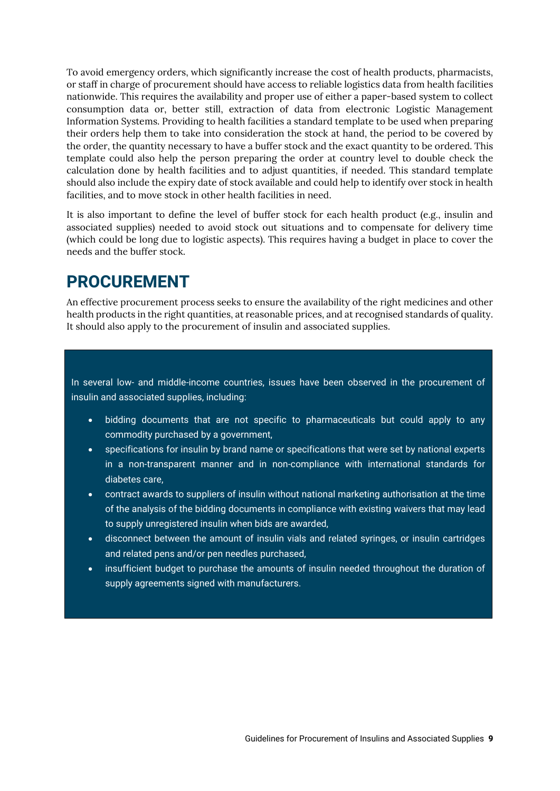To avoid emergency orders, which significantly increase the cost of health products, pharmacists, or staff in charge of procurement should have access to reliable logistics data from health facilities nationwide. This requires the availability and proper use of either a paper-based system to collect consumption data or, better still, extraction of data from electronic Logistic Management Information Systems. Providing to health facilities a standard template to be used when preparing their orders help them to take into consideration the stock at hand, the period to be covered by the order, the quantity necessary to have a buffer stock and the exact quantity to be ordered. This template could also help the person preparing the order at country level to double check the calculation done by health facilities and to adjust quantities, if needed. This standard template should also include the expiry date of stock available and could help to identify over stock in health facilities, and to move stock in other health facilities in need.

It is also important to define the level of buffer stock for each health product (e.g., insulin and associated supplies) needed to avoid stock out situations and to compensate for delivery time (which could be long due to logistic aspects). This requires having a budget in place to cover the needs and the buffer stock.

## <span id="page-10-0"></span>**PROCUREMENT**

An effective procurement process seeks to ensure the availability of the right medicines and other health products in the right quantities, at reasonable prices, and at recognised standards of quality. It should also apply to the procurement of insulin and associated supplies.

In several low- and middle-income countries, issues have been observed in the procurement of insulin and associated supplies, including:

- bidding documents that are not specific to pharmaceuticals but could apply to any commodity purchased by a government,
- specifications for insulin by brand name or specifications that were set by national experts in a non-transparent manner and in non-compliance with international standards for diabetes care,
- contract awards to suppliers of insulin without national marketing authorisation at the time of the analysis of the bidding documents in compliance with existing waivers that may lead to supply unregistered insulin when bids are awarded,
- disconnect between the amount of insulin vials and related syringes, or insulin cartridges and related pens and/or pen needles purchased,
- insufficient budget to purchase the amounts of insulin needed throughout the duration of supply agreements signed with manufacturers.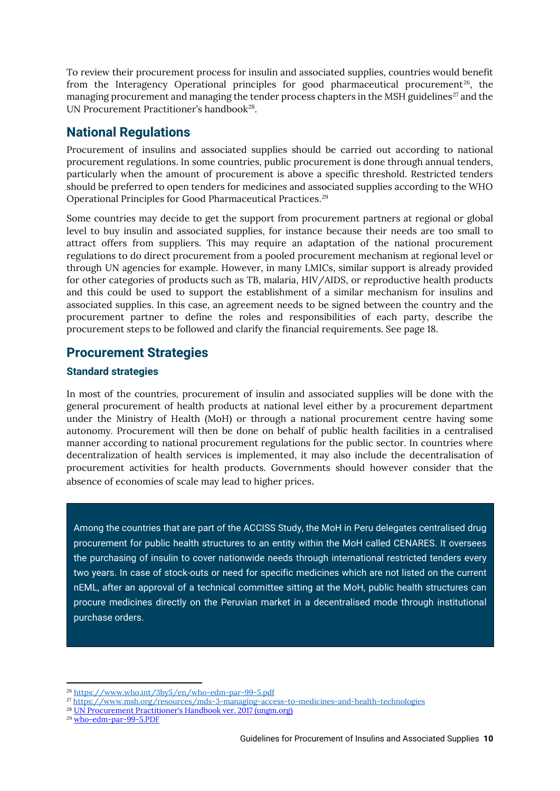To review their procurement process for insulin and associated supplies, countries would benefit from the Interagency Operational principles for good pharmaceutical procurement<sup>26</sup>, the managing procurement and managing the tender process chapters in the MSH guidelines<sup>[27](#page-11-4)</sup> and the UN Procurement Practitioner's handbook<sup>28</sup>.

### <span id="page-11-0"></span>**National Regulations**

Procurement of insulins and associated supplies should be carried out according to national procurement regulations. In some countries, public procurement is done through annual tenders, particularly when the amount of procurement is above a specific threshold. Restricted tenders should be preferred to open tenders for medicines and associated supplies according to the WHO Operational Principles for Good Pharmaceutical Practices. [29](#page-11-6)

Some countries may decide to get the support from procurement partners at regional or global level to buy insulin and associated supplies, for instance because their needs are too small to attract offers from suppliers. This may require an adaptation of the national procurement regulations to do direct procurement from a pooled procurement mechanism at regional level or through UN agencies for example. However, in many LMICs, similar support is already provided for other categories of products such as TB, malaria, HIV/AIDS, or reproductive health products and this could be used to support the establishment of a similar mechanism for insulins and associated supplies. In this case, an agreement needs to be signed between the country and the procurement partner to define the roles and responsibilities of each party, describe the procurement steps to be followed and clarify the financial requirements. See page 18.

### <span id="page-11-1"></span>**Procurement Strategies**

### <span id="page-11-2"></span>**Standard strategies**

In most of the countries, procurement of insulin and associated supplies will be done with the general procurement of health products at national level either by a procurement department under the Ministry of Health (MoH) or through a national procurement centre having some autonomy. Procurement will then be done on behalf of public health facilities in a centralised manner according to national procurement regulations for the public sector. In countries where decentralization of health services is implemented, it may also include the decentralisation of procurement activities for health products. Governments should however consider that the absence of economies of scale may lead to higher prices.

Among the countries that are part of the ACCISS Study, the MoH in Peru delegates centralised drug procurement for public health structures to an entity within the MoH called CENARES. It oversees the purchasing of insulin to cover nationwide needs through international restricted tenders every two years. In case of stock-outs or need for specific medicines which are not listed on the current nEML, after an approval of a technical committee sitting at the MoH, public health structures can procure medicines directly on the Peruvian market in a decentralised mode through institutional purchase orders.

<span id="page-11-6"></span><sup>29</sup> [who-edm-par-99-5.PDF](https://www.who.int/3by5/en/who-edm-par-99-5.pdf)

<span id="page-11-3"></span><sup>26</sup> <https://www.who.int/3by5/en/who-edm-par-99-5.pdf>

<span id="page-11-4"></span><sup>27</sup> <https://www.msh.org/resources/mds-3-managing-access-to-medicines-and-health-technologies>

<span id="page-11-5"></span><sup>&</sup>lt;sup>28</sup> [UN Procurement Practitioner's Handbook ver. 2017 \(ungm.org\)](https://www.ungm.org/Shared/KnowledgeCenter/Pages/PPH2)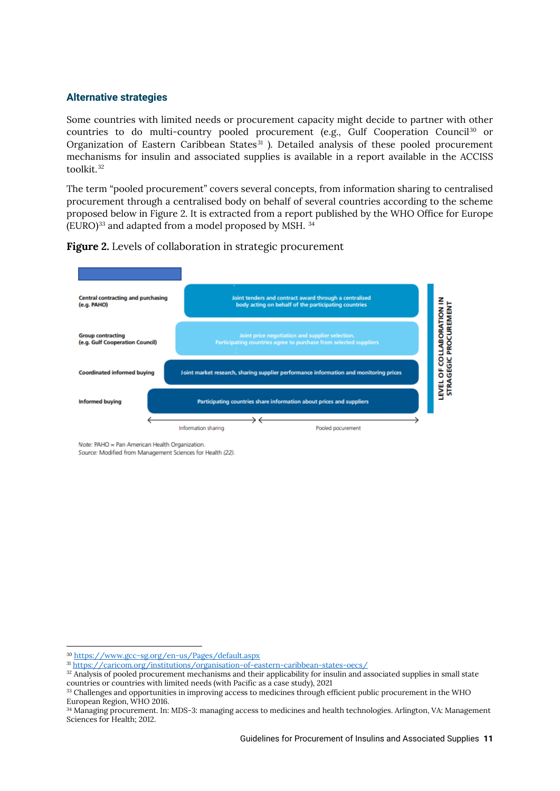### <span id="page-12-0"></span>**Alternative strategies**

Some countries with limited needs or procurement capacity might decide to partner with other countries to do multi-country pooled procurement (e.g., Gulf Cooperation Council<sup>[30](#page-12-1)</sup> or Organization of Eastern Caribbean States $31$ ). Detailed analysis of these pooled procurement mechanisms for insulin and associated supplies is available in a report available in the ACCISS toolkit.[32](#page-12-3)

The term "pooled procurement" covers several concepts, from information sharing to centralised procurement through a centralised body on behalf of several countries according to the scheme proposed below in Figure 2. It is extracted from a report published by the WHO Office for Europe  $(EURO)^{33}$  $(EURO)^{33}$  $(EURO)^{33}$  and adapted from a model proposed by MSH.  $34$ 





Note: PAHO = Pan American Health Organization.

Source: Modified from Management Sciences for Health (22).

<span id="page-12-2"></span><span id="page-12-1"></span><sup>30</sup> <https://www.gcc-sg.org/en-us/Pages/default.aspx>

<sup>31</sup> <https://caricom.org/institutions/organisation-of-eastern-caribbean-states-oecs/>

<span id="page-12-3"></span><sup>&</sup>lt;sup>32</sup> Analysis of pooled procurement mechanisms and their applicability for insulin and associated supplies in small state countries or countries with limited needs (with Pacific as a case study), 2021

<span id="page-12-4"></span><sup>&</sup>lt;sup>33</sup> Challenges and opportunities in improving access to medicines through efficient public procurement in the WHO European Region, WHO 2016.

<span id="page-12-5"></span><sup>34</sup> Managing procurement. In: MDS-3: managing access to medicines and health technologies. Arlington, VA: Management Sciences for Health; 2012.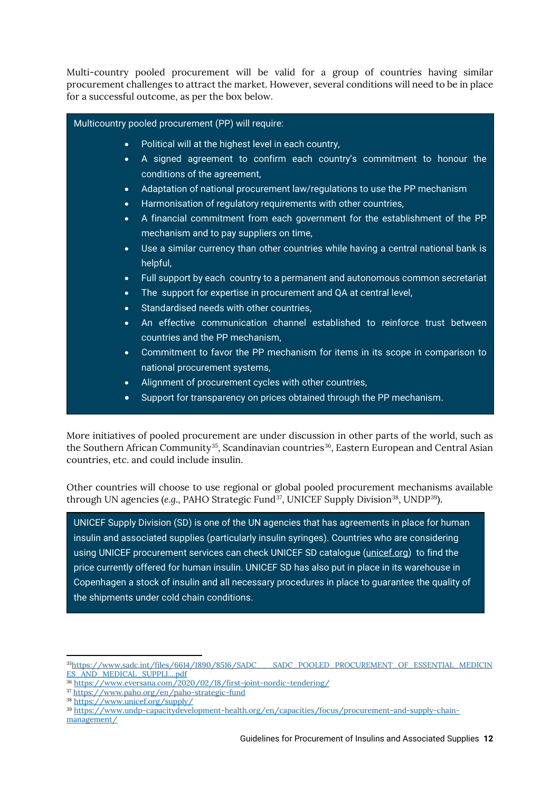Multi-country pooled procurement will be valid for a group of countries having similar procurement challenges to attract the market. However, several conditions will need to be in place for a successful outcome, as per the box below.

### Multicountry pooled procurement (PP) will require:

- Political will at the highest level in each country,
- A signed agreement to confirm each country's commitment to honour the conditions of the agreement,
- Adaptation of national procurement law/regulations to use the PP mechanism
- Harmonisation of regulatory requirements with other countries,
- A financial commitment from each government for the establishment of the PP mechanism and to pay suppliers on time,
- Use a similar currency than other countries while having a central national bank is helpful,
- Full support by each country to a permanent and autonomous common secretariat
- The support for expertise in procurement and QA at central level,
- Standardised needs with other countries,
- An effective communication channel established to reinforce trust between countries and the PP mechanism,
- Commitment to favor the PP mechanism for items in its scope in comparison to national procurement systems,
- Alignment of procurement cycles with other countries,
- Support for transparency on prices obtained through the PP mechanism.

More initiatives of pooled procurement are under discussion in other parts of the world, such as the Southern African Community<sup>35</sup>, Scandinavian countries<sup>[36](#page-13-1)</sup>, Eastern European and Central Asian countries, etc. and could include insulin.

Other countries will choose to use regional or global pooled procurement mechanisms available through UN agencies (*e.g.*, PAHO Strategic Fund<sup>[37](#page-13-2)</sup>, UNICEF Supply Division<sup>38</sup>, UNDP<sup>[39](#page-13-4)</sup>).

<span id="page-13-5"></span>UNICEF Supply Division (SD) is one of the UN agencies that has agreements in place for human insulin and associated supplies (particularly insulin syringes). Countries who are considering using UNICEF procurement services can check UNICEF SD catalogue [\(unicef.org\)](https://supply.unicef.org/) to find the price currently offered for human insulin. UNICEF SD has also put in place in its warehouse in Copenhagen a stock of insulin and all necessary procedures in place to guarantee the quality of the shipments under cold chain conditions.

- <span id="page-13-1"></span><sup>36</sup> <https://www.eversana.com/2020/02/18/first-joint-nordic-tendering/>
- <span id="page-13-2"></span><sup>37</sup> <https://www.paho.org/en/paho-strategic-fund>
- <span id="page-13-3"></span><sup>38</sup> <https://www.unicef.org/supply/>
- <span id="page-13-4"></span><sup>39</sup> [https://www.undp-capacitydevelopment-health.org/en/capacities/focus/procurement-and-supply-chain-](https://www.undp-capacitydevelopment-health.org/en/capacities/focus/procurement-and-supply-chain-management/)

[management/](https://www.undp-capacitydevelopment-health.org/en/capacities/focus/procurement-and-supply-chain-management/)

<span id="page-13-0"></span><sup>3</sup>[5https://www.sadc.int/files/6614/1890/8516/SADC\\_\\_\\_SADC\\_POOLED\\_PROCUREMENT\\_OF\\_ESSENTIAL\\_MEDICIN](https://www.sadc.int/files/6614/1890/8516/SADC___SADC_POOLED_PROCUREMENT_OF_ESSENTIAL_MEDICINES_AND_MEDICAL_SUPPLI....pdf) [ES\\_AND\\_MEDICAL\\_SUPPLI....pdf](https://www.sadc.int/files/6614/1890/8516/SADC___SADC_POOLED_PROCUREMENT_OF_ESSENTIAL_MEDICINES_AND_MEDICAL_SUPPLI....pdf)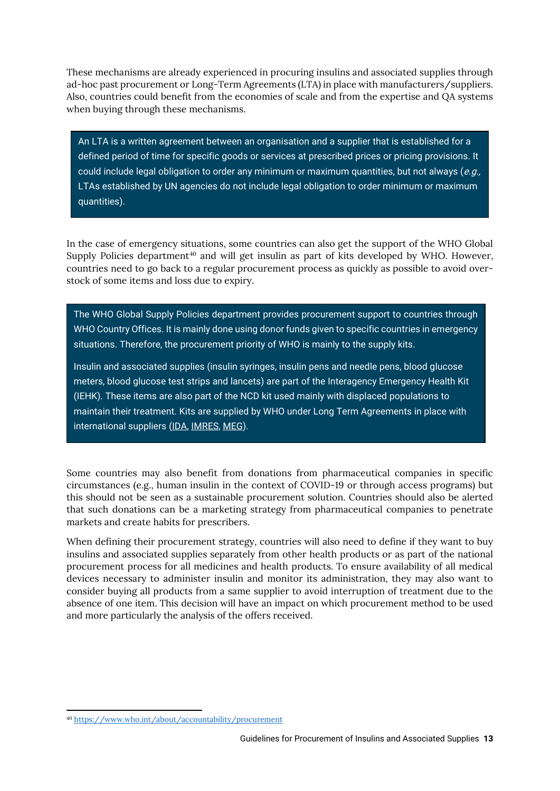These mechanisms are already experienced in procuring insulins and associated supplies through ad-hoc past procurement or Long-Term Agreements (LTA) in place with manufacturers/suppliers. Also, countries could benefit from the economies of scale and from the expertise and QA systems when buying through these mechanisms.

An LTA is a written agreement between an organisation and a supplier that is established for a defined period of time for specific goods or services at prescribed prices or pricing provisions. It could include legal obligation to order any minimum or maximum quantities, but not always (e.g., LTAs established by UN agencies do not include legal obligation to order minimum or maximum quantities).

In the case of emergency situations, some countries can also get the support of the WHO Global Supply Policies department<sup>[40](#page-14-0)</sup> and will get insulin as part of kits developed by WHO. However, countries need to go back to a regular procurement process as quickly as possible to avoid overstock of some items and loss due to expiry.

The WHO Global Supply Policies department provides procurement support to countries through WHO Country Offices. It is mainly done using donor funds given to specific countries in emergency situations. Therefore, the procurement priority of WHO is mainly to the supply kits.

Insulin and associated supplies (insulin syringes, insulin pens and needle pens, blood glucose meters, blood glucose test strips and lancets) are part of the Interagency Emergency Health Kit (IEHK). These items are also part of the NCD kit used mainly with displaced populations to maintain their treatment. Kits are supplied by WHO under Long Term Agreements in place with international suppliers [\(IDA,](https://www.idafoundation.org/) [IMRES,](https://www.imres.nl/en) [MEG\)](https://www.medicalexportgroup.com/products/pharmaceuticals).

Some countries may also benefit from donations from pharmaceutical companies in specific circumstances (e.g., human insulin in the context of COVID-19 or through access programs) but this should not be seen as a sustainable procurement solution. Countries should also be alerted that such donations can be a marketing strategy from pharmaceutical companies to penetrate markets and create habits for prescribers.

When defining their procurement strategy, countries will also need to define if they want to buy insulins and associated supplies separately from other health products or as part of the national procurement process for all medicines and health products. To ensure availability of all medical devices necessary to administer insulin and monitor its administration, they may also want to consider buying all products from a same supplier to avoid interruption of treatment due to the absence of one item. This decision will have an impact on which procurement method to be used and more particularly the analysis of the offers received.

<span id="page-14-0"></span><sup>40</sup> <https://www.who.int/about/accountability/procurement>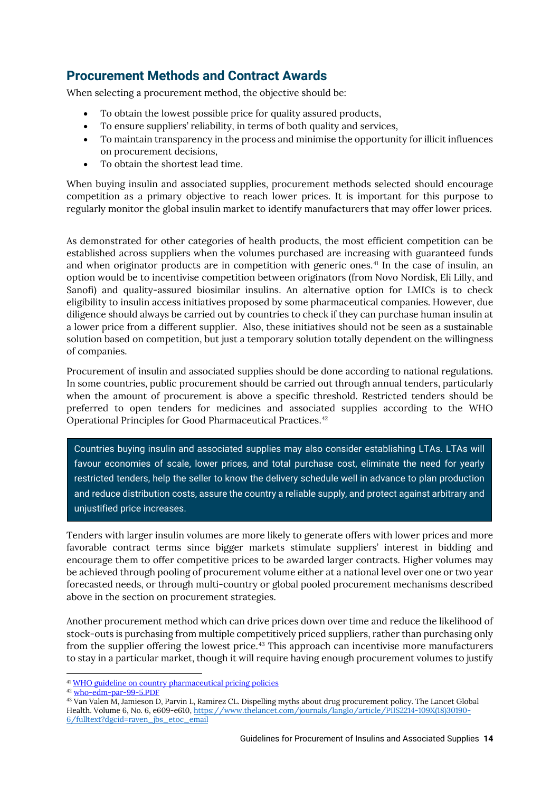### <span id="page-15-0"></span>**Procurement Methods and Contract Awards**

When selecting a procurement method, the objective should be:

- To obtain the lowest possible price for quality assured products,
- To ensure suppliers' reliability, in terms of both quality and services,
- To maintain transparency in the process and minimise the opportunity for illicit influences on procurement decisions,
- To obtain the shortest lead time.

When buying insulin and associated supplies, procurement methods selected should encourage competition as a primary objective to reach lower prices. It is important for this purpose to regularly monitor the global insulin market to identify manufacturers that may offer lower prices.

As demonstrated for other categories of health products, the most efficient competition can be established across suppliers when the volumes purchased are increasing with guaranteed funds and when originator products are in competition with generic ones. [41](#page-15-1) In the case of insulin, an option would be to incentivise competition between originators (from Novo Nordisk, Eli Lilly, and Sanofi) and quality-assured biosimilar insulins. An alternative option for LMICs is to check eligibility to insulin access initiatives proposed by some pharmaceutical companies. However, due diligence should always be carried out by countries to check if they can purchase human insulin at a lower price from a different supplier. Also, these initiatives should not be seen as a sustainable solution based on competition, but just a temporary solution totally dependent on the willingness of companies.

Procurement of insulin and associated supplies should be done according to national regulations. In some countries, public procurement should be carried out through annual tenders, particularly when the amount of procurement is above a specific threshold. Restricted tenders should be preferred to open tenders for medicines and associated supplies according to the WHO Operational Principles for Good Pharmaceutical Practices. [42](#page-15-2)

Countries buying insulin and associated supplies may also consider establishing LTAs. LTAs will favour economies of scale, lower prices, and total purchase cost, eliminate the need for yearly restricted tenders, help the seller to know the delivery schedule well in advance to plan production and reduce distribution costs, assure the country a reliable supply, and protect against arbitrary and unjustified price increases.

Tenders with larger insulin volumes are more likely to generate offers with lower prices and more favorable contract terms since bigger markets stimulate suppliers' interest in bidding and encourage them to offer competitive prices to be awarded larger contracts. Higher volumes may be achieved through pooling of procurement volume either at a national level over one or two year forecasted needs, or through multi-country or global pooled procurement mechanisms described above in the section on procurement strategies.

Another procurement method which can drive prices down over time and reduce the likelihood of stock-outs is purchasing from multiple competitively priced suppliers, rather than purchasing only from the supplier offering the lowest price.[43](#page-15-3) This approach can incentivise more manufacturers to stay in a particular market, though it will require having enough procurement volumes to justify

<span id="page-15-1"></span><sup>41</sup> [WHO guideline on country pharmaceutical pricing policies](https://www.who.int/publications/i/item/9789240011878)

<span id="page-15-2"></span> $42$  [who-edm-par-99-5.PDF](https://www.who.int/3by5/en/who-edm-par-99-5.pdf)

<span id="page-15-3"></span><sup>43</sup> Van Valen M, Jamieson D, Parvin L, Ramirez CL. Dispelling myths about drug procurement policy. The Lancet Global Health. Volume 6, No. 6, e609-e610, [https://www.thelancet.com/journals/langlo/article/PIIS2214-109X\(18\)30190-](https://www.thelancet.com/journals/langlo/article/PIIS2214-109X(18)30190-6/fulltext?dgcid=raven_jbs_etoc_email) [6/fulltext?dgcid=raven\\_jbs\\_etoc\\_email](https://www.thelancet.com/journals/langlo/article/PIIS2214-109X(18)30190-6/fulltext?dgcid=raven_jbs_etoc_email)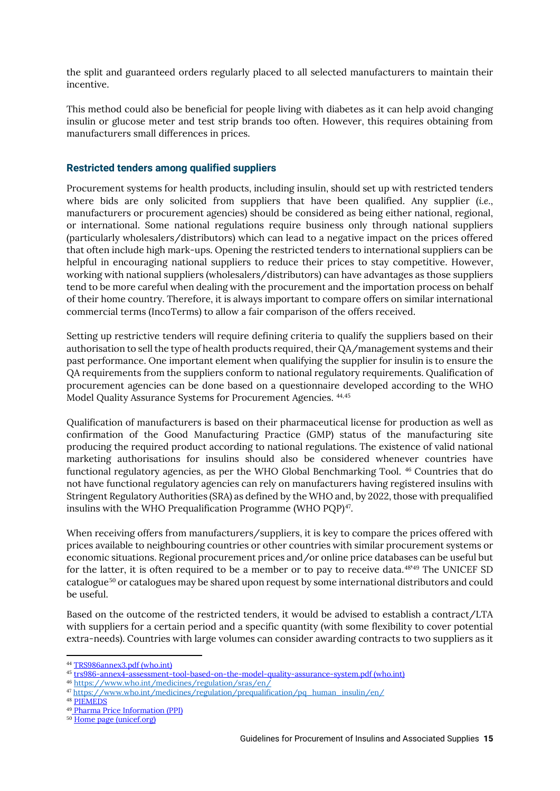the split and guaranteed orders regularly placed to all selected manufacturers to maintain their incentive.

This method could also be beneficial for people living with diabetes as it can help avoid changing insulin or glucose meter and test strip brands too often. However, this requires obtaining from manufacturers small differences in prices.

### <span id="page-16-0"></span>**Restricted tenders among qualified suppliers**

Procurement systems for health products, including insulin, should set up with restricted tenders where bids are only solicited from suppliers that have been qualified. Any supplier (*i.e.*, manufacturers or procurement agencies) should be considered as being either national, regional, or international. Some national regulations require business only through national suppliers (particularly wholesalers/distributors) which can lead to a negative impact on the prices offered that often include high mark-ups. Opening the restricted tenders to international suppliers can be helpful in encouraging national suppliers to reduce their prices to stay competitive. However, working with national suppliers (wholesalers/distributors) can have advantages as those suppliers tend to be more careful when dealing with the procurement and the importation process on behalf of their home country. Therefore, it is always important to compare offers on similar international commercial terms (IncoTerms) to allow a fair comparison of the offers received.

Setting up restrictive tenders will require defining criteria to qualify the suppliers based on their authorisation to sell the type of health products required, their QA/management systems and their past performance. One important element when qualifying the supplier for insulin is to ensure the QA requirements from the suppliers conform to national regulatory requirements. Qualification of procurement agencies can be done based on a questionnaire developed according to the WHO Model Quality Assurance Systems for Procurement Agencies. [44](#page-16-1),[45](#page-16-2)

Qualification of manufacturers is based on their pharmaceutical license for production as well as confirmation of the Good Manufacturing Practice (GMP) status of the manufacturing site producing the required product according to national regulations. The existence of valid national marketing authorisations for insulins should also be considered whenever countries have functional regulatory agencies, as per the WHO Global Benchmarking Tool. [46](#page-16-3) Countries that do not have functional regulatory agencies can rely on manufacturers having registered insulins with Stringent Regulatory Authorities (SRA) as defined by the WHO and, by 2022, those with prequalified insulins with the WHO Prequalification Programme (WHO PQP)<sup>[47](#page-16-4)</sup>.

When receiving offers from manufacturers/suppliers, it is key to compare the prices offered with prices available to neighbouring countries or other countries with similar procurement systems or economic situations. Regional procurement prices and/or online price databases can be useful but for the latter, it is often required to be a member or to pay to receive data.<sup>481[49](#page-16-6)</sup> The UNICEF SD catalogue[50](#page-16-7) or catalogues may be shared upon request by some international distributors and could be useful.

Based on the outcome of the restricted tenders, it would be advised to establish a contract/LTA with suppliers for a certain period and a specific quantity (with some flexibility to cover potential extra-needs). Countries with large volumes can consider awarding contracts to two suppliers as it

<span id="page-16-1"></span><sup>44</sup> [TRS986annex3.pdf \(who.int\)](https://www.who.int/medicines/areas/quality_safety/quality_assurance/TRS986annex3.pdf)

<span id="page-16-2"></span><sup>45</sup> [trs986-annex4-assessment-tool-based-on-the-model-quality-assurance-system.pdf \(who.int\)](https://cdn.who.int/media/docs/default-source/medicines/norms-and-standards/guidelines/distribution/trs986-annex4-assessment-tool-based-on-the-model-quality-assurance-system.pdf?sfvrsn=d4c03f00_2)

<sup>46</sup> <https://www.who.int/medicines/regulation/sras/en/>

<span id="page-16-4"></span><span id="page-16-3"></span><sup>47</sup> [https://www.who.int/medicines/regulation/prequalification/pq\\_human\\_insulin/en/](https://www.who.int/medicines/regulation/prequalification/pq_human_insulin/en/)

<span id="page-16-5"></span><sup>48</sup> [PIEMEDS](https://piemeds.com/)

<span id="page-16-6"></span><sup>49</sup> Pharma Price Information (PPI)

<span id="page-16-7"></span><sup>50</sup> [Home page \(unicef.org\)](https://supply.unicef.org/)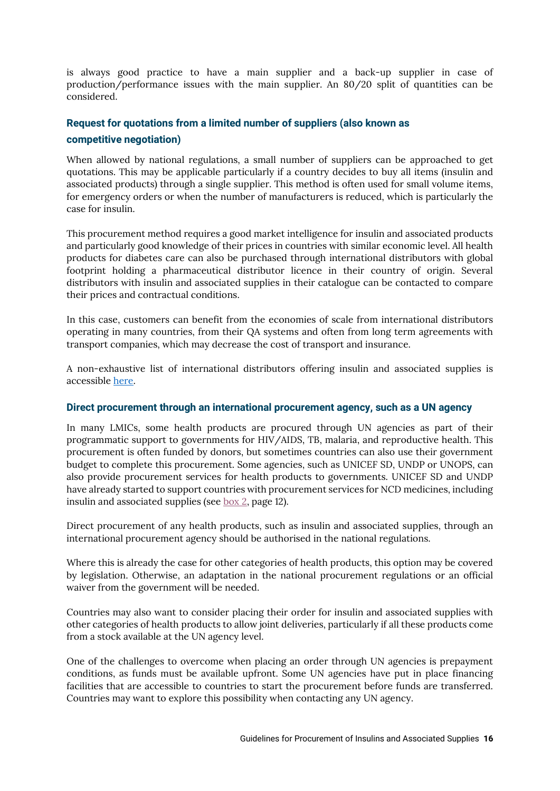is always good practice to have a main supplier and a back-up supplier in case of production/performance issues with the main supplier. An 80/20 split of quantities can be considered.

### <span id="page-17-0"></span>**Request for quotations from a limited number of suppliers (also known as competitive negotiation)**

When allowed by national regulations, a small number of suppliers can be approached to get quotations. This may be applicable particularly if a country decides to buy all items (insulin and associated products) through a single supplier. This method is often used for small volume items, for emergency orders or when the number of manufacturers is reduced, which is particularly the case for insulin.

This procurement method requires a good market intelligence for insulin and associated products and particularly good knowledge of their prices in countries with similar economic level. All health products for diabetes care can also be purchased through international distributors with global footprint holding a pharmaceutical distributor licence in their country of origin. Several distributors with insulin and associated supplies in their catalogue can be contacted to compare their prices and contractual conditions.

In this case, customers can benefit from the economies of scale from international distributors operating in many countries, from their QA systems and often from long term agreements with transport companies, which may decrease the cost of transport and insurance.

A non-exhaustive list of international distributors offering insulin and associated supplies is accessible [here.](https://accisstoolkit.haiweb.org/wp-content/uploads/2021/10/Insulin-Products-Distributors.pdf)

### <span id="page-17-1"></span>**Direct procurement through an international procurement agency, such as a UN agency**

In many LMICs, some health products are procured through UN agencies as part of their programmatic support to governments for HIV/AIDS, TB, malaria, and reproductive health. This procurement is often funded by donors, but sometimes countries can also use their government budget to complete this procurement. Some agencies, such as UNICEF SD, UNDP or UNOPS, can also provide procurement services for health products to governments. UNICEF SD and UNDP have already started to support countries with procurement services for NCD medicines, including insulin and associated supplies (see [box 2,](#page-13-5) page 12).

Direct procurement of any health products, such as insulin and associated supplies, through an international procurement agency should be authorised in the national regulations.

Where this is already the case for other categories of health products, this option may be covered by legislation. Otherwise, an adaptation in the national procurement regulations or an official waiver from the government will be needed.

Countries may also want to consider placing their order for insulin and associated supplies with other categories of health products to allow joint deliveries, particularly if all these products come from a stock available at the UN agency level.

One of the challenges to overcome when placing an order through UN agencies is prepayment conditions, as funds must be available upfront. Some UN agencies have put in place financing facilities that are accessible to countries to start the procurement before funds are transferred. Countries may want to explore this possibility when contacting any UN agency.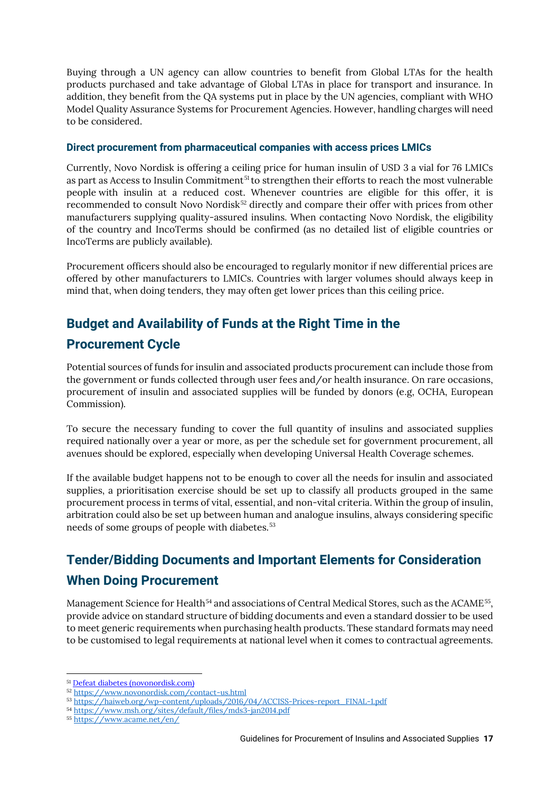Buying through a UN agency can allow countries to benefit from Global LTAs for the health products purchased and take advantage of Global LTAs in place for transport and insurance. In addition, they benefit from the QA systems put in place by the UN agencies, compliant with WHO Model Quality Assurance Systems for Procurement Agencies. However, handling charges will need to be considered.

### <span id="page-18-0"></span>**Direct procurement from pharmaceutical companies with access prices LMICs**

Currently, Novo Nordisk is offering a ceiling price for human insulin of USD 3 a vial for 76 LMICs as part as Access to Insulin Commitment<sup>[51](#page-18-3)</sup> to strengthen their efforts to reach the most vulnerable people with insulin at a reduced cost. Whenever countries are eligible for this offer, it is recommended to consult Novo Nordisk<sup>[52](#page-18-4)</sup> directly and compare their offer with prices from other manufacturers supplying quality-assured insulins. When contacting Novo Nordisk, the eligibility of the country and IncoTerms should be confirmed (as no detailed list of eligible countries or IncoTerms are publicly available).

Procurement officers should also be encouraged to regularly monitor if new differential prices are offered by other manufacturers to LMICs. Countries with larger volumes should always keep in mind that, when doing tenders, they may often get lower prices than this ceiling price.

## <span id="page-18-1"></span>**Budget and Availability of Funds at the Right Time in the**

### **Procurement Cycle**

Potential sources of funds for insulin and associated products procurement can include those from the government or funds collected through user fees and/or health insurance. On rare occasions, procurement of insulin and associated supplies will be funded by donors (e.g, OCHA, European Commission).

To secure the necessary funding to cover the full quantity of insulins and associated supplies required nationally over a year or more, as per the schedule set for government procurement, all avenues should be explored, especially when developing Universal Health Coverage schemes.

If the available budget happens not to be enough to cover all the needs for insulin and associated supplies, a prioritisation exercise should be set up to classify all products grouped in the same procurement process in terms of vital, essential, and non-vital criteria. Within the group of insulin, arbitration could also be set up between human and analogue insulins, always considering specific needs of some groups of people with diabetes.<sup>[53](#page-18-5)</sup>

## <span id="page-18-2"></span>**Tender/Bidding Documents and Important Elements for Consideration When Doing Procurement**

Management Science for Health<sup>[54](#page-18-6)</sup> and associations of Central Medical Stores, such as the ACAME<sup>55</sup>, provide advice on standard structure of bidding documents and even a standard dossier to be used to meet generic requirements when purchasing health products. These standard formats may need to be customised to legal requirements at national level when it comes to contractual agreements.

<span id="page-18-3"></span><sup>51</sup> [Defeat diabetes \(novonordisk.com\)](https://www.novonordisk.com/about/defeat-diabetes.html)

<span id="page-18-4"></span><sup>52</sup> <https://www.novonordisk.com/contact-us.html>

<span id="page-18-5"></span><sup>53</sup> [https://haiweb.org/wp-content/uploads/2016/04/ACCISS-Prices-report\\_FINAL-1.pdf](https://haiweb.org/wp-content/uploads/2016/04/ACCISS-Prices-report_FINAL-1.pdf)

<span id="page-18-6"></span><sup>54</sup> <https://www.msh.org/sites/default/files/mds3-jan2014.pdf>

<span id="page-18-7"></span><sup>55</sup> <https://www.acame.net/en/>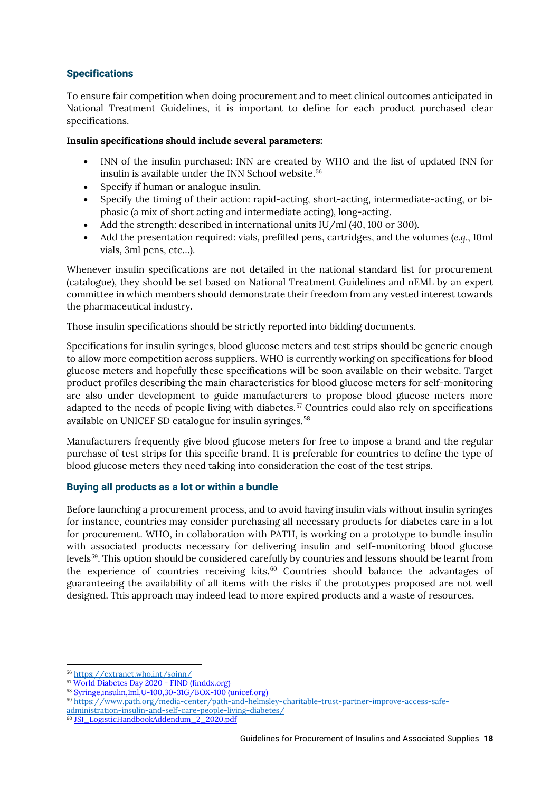### <span id="page-19-0"></span>**Specifications**

To ensure fair competition when doing procurement and to meet clinical outcomes anticipated in National Treatment Guidelines, it is important to define for each product purchased clear specifications.

### **Insulin specifications should include several parameters:**

- INN of the insulin purchased: INN are created by WHO and the list of updated INN for insulin is available under the INN School website. [56](#page-19-3)
- Specify if human or analogue insulin.
- Specify the timing of their action: rapid-acting, short-acting, intermediate-acting, or biphasic (a mix of short acting and intermediate acting), long-acting.
- Add the strength: described in international units IU/ml (40, 100 or 300).
- Add the presentation required: vials, prefilled pens, cartridges, and the volumes (*e.g.*, 10ml vials, 3ml pens, etc…).

Whenever insulin specifications are not detailed in the national standard list for procurement (catalogue), they should be set based on National Treatment Guidelines and nEML by an expert committee in which members should demonstrate their freedom from any vested interest towards the pharmaceutical industry.

Those insulin specifications should be strictly reported into bidding documents.

Specifications for insulin syringes, blood glucose meters and test strips should be generic enough to allow more competition across suppliers. WHO is currently working on specifications for blood glucose meters and hopefully these specifications will be soon available on their website. Target product profiles describing the main characteristics for blood glucose meters for self-monitoring are also under development to guide manufacturers to propose blood glucose meters more adapted to the needs of people living with diabetes.<sup>[57](#page-19-4)</sup> Countries could also rely on specifications available on UNICEF SD catalogue for insulin syringes.<sup>[58](#page-19-5)</sup>

Manufacturers frequently give blood glucose meters for free to impose a brand and the regular purchase of test strips for this specific brand. It is preferable for countries to define the type of blood glucose meters they need taking into consideration the cost of the test strips.

### <span id="page-19-1"></span>**Buying all products as a lot or within a bundle**

Before launching a procurement process, and to avoid having insulin vials without insulin syringes for instance, countries may consider purchasing all necessary products for diabetes care in a lot for procurement. WHO, in collaboration with PATH, is working on a prototype to bundle insulin with associated products necessary for delivering insulin and self-monitoring blood glucose levels[59](#page-19-6). This option should be considered carefully by countries and lessons should be learnt from the experience of countries receiving kits. $60$  Countries should balance the advantages of guaranteeing the availability of all items with the risks if the prototypes proposed are not well designed. This approach may indeed lead to more expired products and a waste of resources.

<span id="page-19-3"></span><span id="page-19-2"></span><sup>56</sup> <https://extranet.who.int/soinn/>

<span id="page-19-4"></span><sup>57</sup> [World Diabetes Day 2020 -](https://www.finddx.org/newsroom/ceo-14nov20/) FIND (finddx.org)

<span id="page-19-5"></span><sup>58</sup> [Syringe,insulin,1ml,U-100,30-31G/BOX-100 \(unicef.org\)](https://supply.unicef.org/s0782440.html)

<span id="page-19-6"></span><sup>59</sup> [https://www.path.org/media-center/path-and-helmsley-charitable-trust-partner-improve-access-safe-](https://www.path.org/media-center/path-and-helmsley-charitable-trust-partner-improve-access-safe-administration-insulin-and-self-care-people-living-diabetes/)

[administration-insulin-and-self-care-people-living-diabetes/](https://www.path.org/media-center/path-and-helmsley-charitable-trust-partner-improve-access-safe-administration-insulin-and-self-care-people-living-diabetes/)

<span id="page-19-7"></span><sup>60</sup> [JSI\\_LogisticHandbookAddendum\\_2\\_2020.pdf](https://supplychainhandbook.jsi.com/wp-content/uploads/2020/03/JSI_LogisticHandbookAddendum_2_2020.pdf)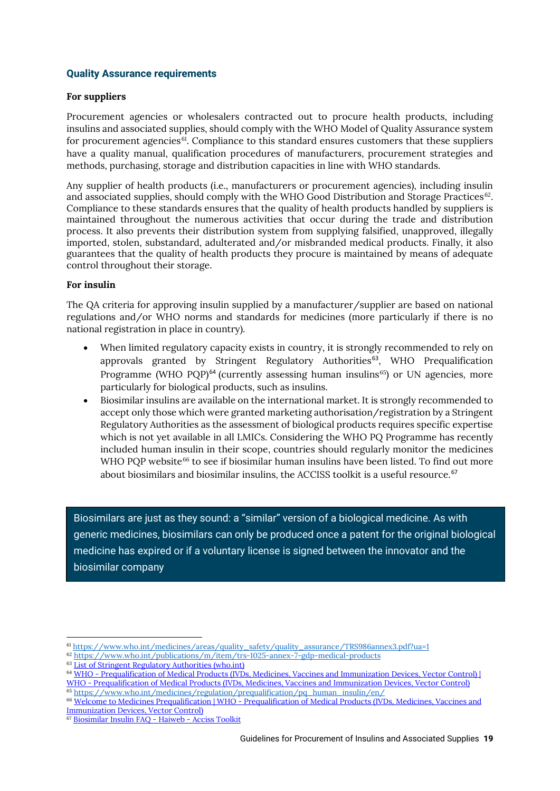### **Quality Assurance requirements**

### **For suppliers**

Procurement agencies or wholesalers contracted out to procure health products, including insulins and associated supplies, should comply with the WHO Model of Quality Assurance system for procurement agencies<sup>61</sup>. Compliance to this standard ensures customers that these suppliers have a quality manual, qualification procedures of manufacturers, procurement strategies and methods, purchasing, storage and distribution capacities in line with WHO standards.

Any supplier of health products (i.e., manufacturers or procurement agencies), including insulin and associated supplies, should comply with the WHO Good Distribution and Storage Practices $^{62}$  $^{62}$  $^{62}$ . Compliance to these standards ensures that the quality of health products handled by suppliers is maintained throughout the numerous activities that occur during the trade and distribution process. It also prevents their distribution system from supplying falsified, unapproved, illegally imported, stolen, substandard, adulterated and/or misbranded medical products. Finally, it also guarantees that the quality of health products they procure is maintained by means of adequate control throughout their storage.

### **For insulin**

The QA criteria for approving insulin supplied by a manufacturer/supplier are based on national regulations and/or WHO norms and standards for medicines (more particularly if there is no national registration in place in country).

- When limited regulatory capacity exists in country, it is strongly recommended to rely on approvals granted by Stringent Regulatory Authorities<sup>[63](#page-20-2)</sup>, WHO Prequalification Programme (WHO PQP)<sup>[64](#page-20-3)</sup> (currently assessing human insulins<sup>65</sup>) or UN agencies, more particularly for biological products, such as insulins.
- Biosimilar insulins are available on the international market. It is strongly recommended to accept only those which were granted marketing authorisation/registration by a Stringent Regulatory Authorities as the assessment of biological products requires specific expertise which is not yet available in all LMICs. Considering the WHO PQ Programme has recently included human insulin in their scope, countries should regularly monitor the medicines WHO POP website<sup>[66](#page-20-5)</sup> to see if biosimilar human insulins have been listed. To find out more about biosimilars and biosimilar insulins, the ACCISS toolkit is a useful resource. [67](#page-20-6)

Biosimilars are just as they sound: a "similar" version of a biological medicine. As with generic medicines, biosimilars can only be produced once a patent for the original biological medicine has expired or if a voluntary license is signed between the innovator and the biosimilar company

<span id="page-20-0"></span><sup>61</sup> [https://www.who.int/medicines/areas/quality\\_safety/quality\\_assurance/TRS986annex3.pdf?ua=1](https://www.who.int/medicines/areas/quality_safety/quality_assurance/TRS986annex3.pdf?ua=1)

<span id="page-20-1"></span><sup>62</sup> <https://www.who.int/publications/m/item/trs-1025-annex-7-gdp-medical-products>

<sup>63</sup> [List of Stringent Regulatory Authorities \(who.int\)](https://www.who.int/initiatives/who-listed-authority-reg-authorities/SRAs)

<span id="page-20-3"></span><span id="page-20-2"></span><sup>&</sup>lt;sup>64</sup> WHO - Prequalification of Medical Products (IVDs, Medicines, Vaccines and Immunization Devices, Vector Control) | WHO - [Prequalification of Medical Products \(IVDs, Medicines, Vaccines and Immunization Devices, Vector Control\)](https://extranet.who.int/pqweb/)

<sup>65</sup> [https://www.who.int/medicines/regulation/prequalification/pq\\_human\\_insulin/en/](https://www.who.int/medicines/regulation/prequalification/pq_human_insulin/en/)

<span id="page-20-5"></span><span id="page-20-4"></span><sup>66</sup> Welcome to Medicines Prequalification | WHO - [Prequalification of Medical Products \(IVDs, Medicines, Vaccines and](https://extranet.who.int/pqweb/medicines)  [Immunization Devices, Vector Control\)](https://extranet.who.int/pqweb/medicines)

<span id="page-20-6"></span><sup>67</sup> [Biosimilar Insulin FAQ -](https://accisstoolkit.haiweb.org/selection/biosimilar-insulin-faq/) Haiweb - Acciss Toolkit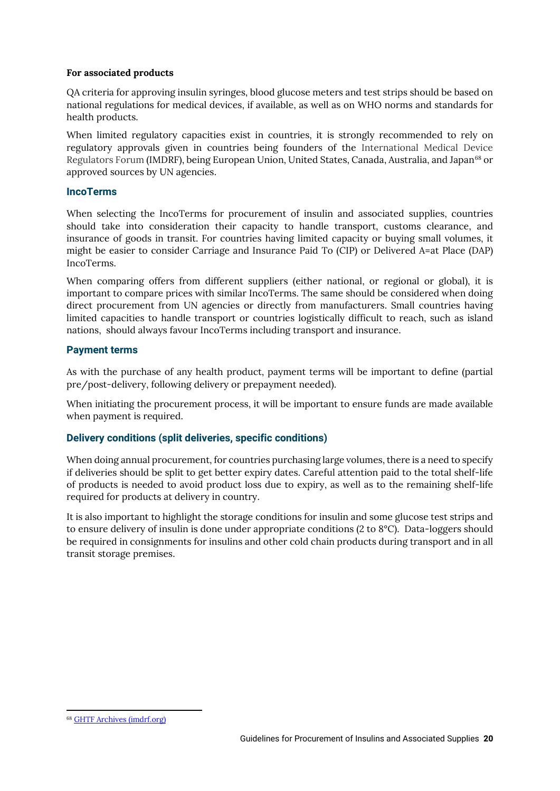### **For associated products**

QA criteria for approving insulin syringes, blood glucose meters and test strips should be based on national regulations for medical devices, if available, as well as on WHO norms and standards for health products.

When limited regulatory capacities exist in countries, it is strongly recommended to rely on regulatory approvals given in countries being founders of the International Medical Device Regulators Forum (IMDRF), being European Union, United States, Canada, Australia, and Japan<sup>[68](#page-21-4)</sup> or approved sources by UN agencies.

### <span id="page-21-0"></span>**IncoTerms**

When selecting the IncoTerms for procurement of insulin and associated supplies, countries should take into consideration their capacity to handle transport, customs clearance, and insurance of goods in transit. For countries having limited capacity or buying small volumes, it might be easier to consider Carriage and Insurance Paid To (CIP) or Delivered A=at Place (DAP) IncoTerms.

When comparing offers from different suppliers (either national, or regional or global), it is important to compare prices with similar IncoTerms. The same should be considered when doing direct procurement from UN agencies or directly from manufacturers. Small countries having limited capacities to handle transport or countries logistically difficult to reach, such as island nations, should always favour IncoTerms including transport and insurance.

### <span id="page-21-1"></span>**Payment terms**

As with the purchase of any health product, payment terms will be important to define (partial pre/post-delivery, following delivery or prepayment needed).

When initiating the procurement process, it will be important to ensure funds are made available when payment is required.

### <span id="page-21-2"></span>**Delivery conditions (split deliveries, specific conditions)**

When doing annual procurement, for countries purchasing large volumes, there is a need to specify if deliveries should be split to get better expiry dates. Careful attention paid to the total shelf-life of products is needed to avoid product loss due to expiry, as well as to the remaining shelf-life required for products at delivery in country.

<span id="page-21-3"></span>It is also important to highlight the storage conditions for insulin and some glucose test strips and to ensure delivery of insulin is done under appropriate conditions (2 to 8°C). Data-loggers should be required in consignments for insulins and other cold chain products during transport and in all transit storage premises.

<span id="page-21-4"></span><sup>68</sup> [GHTF Archives \(imdrf.org\)](http://www.imdrf.org/ghtf/ghtf-archives.asp)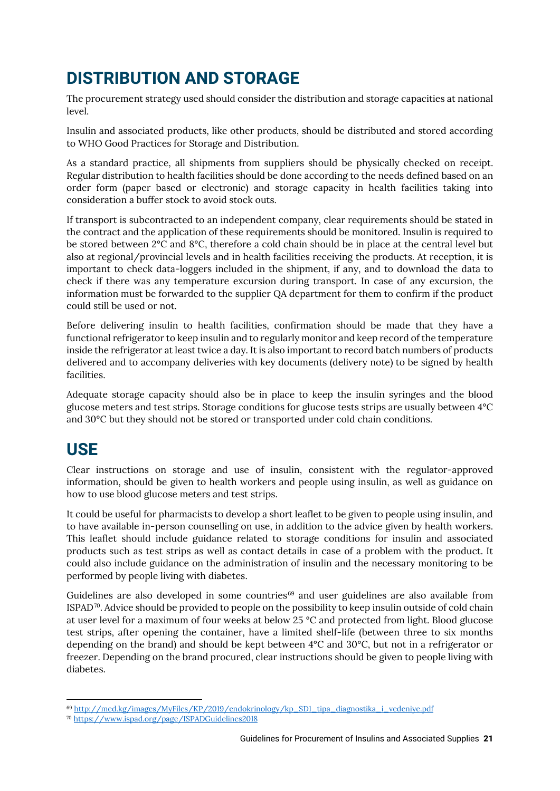## **DISTRIBUTION AND STORAGE**

The procurement strategy used should consider the distribution and storage capacities at national level.

Insulin and associated products, like other products, should be distributed and stored according to WHO Good Practices for Storage and Distribution.

As a standard practice, all shipments from suppliers should be physically checked on receipt. Regular distribution to health facilities should be done according to the needs defined based on an order form (paper based or electronic) and storage capacity in health facilities taking into consideration a buffer stock to avoid stock outs.

If transport is subcontracted to an independent company, clear requirements should be stated in the contract and the application of these requirements should be monitored. Insulin is required to be stored between 2°C and 8°C, therefore a cold chain should be in place at the central level but also at regional/provincial levels and in health facilities receiving the products. At reception, it is important to check data-loggers included in the shipment, if any, and to download the data to check if there was any temperature excursion during transport. In case of any excursion, the information must be forwarded to the supplier QA department for them to confirm if the product could still be used or not.

Before delivering insulin to health facilities, confirmation should be made that they have a functional refrigerator to keep insulin and to regularly monitor and keep record of the temperature inside the refrigerator at least twice a day. It is also important to record batch numbers of products delivered and to accompany deliveries with key documents (delivery note) to be signed by health facilities.

<span id="page-22-0"></span>Adequate storage capacity should also be in place to keep the insulin syringes and the blood glucose meters and test strips. Storage conditions for glucose tests strips are usually between 4°C and 30°C but they should not be stored or transported under cold chain conditions.

## **USE**

Clear instructions on storage and use of insulin, consistent with the regulator-approved information, should be given to health workers and people using insulin, as well as guidance on how to use blood glucose meters and test strips.

It could be useful for pharmacists to develop a short leaflet to be given to people using insulin, and to have available in-person counselling on use, in addition to the advice given by health workers. This leaflet should include guidance related to storage conditions for insulin and associated products such as test strips as well as contact details in case of a problem with the product. It could also include guidance on the administration of insulin and the necessary monitoring to be performed by people living with diabetes.

Guidelines are also developed in some countries $69$  and user guidelines are also available from ISPAD[70.](#page-22-2) Advice should be provided to people on the possibility to keep insulin outside of cold chain at user level for a maximum of four weeks at below 25 °C and protected from light. Blood glucose test strips, after opening the container, have a limited shelf-life (between three to six months depending on the brand) and should be kept between 4°C and 30°C, but not in a refrigerator or freezer. Depending on the brand procured, clear instructions should be given to people living with diabetes.

<span id="page-22-1"></span><sup>69</sup> [http://med.kg/images/MyFiles/KP/2019/endokrinology/kp\\_SD1\\_tipa\\_diagnostika\\_i\\_vedeniye.pdf](http://med.kg/images/MyFiles/KP/2019/endokrinology/kp_SD1_tipa_diagnostika_i_vedeniye.pdf)

<span id="page-22-2"></span><sup>70</sup> <https://www.ispad.org/page/ISPADGuidelines2018>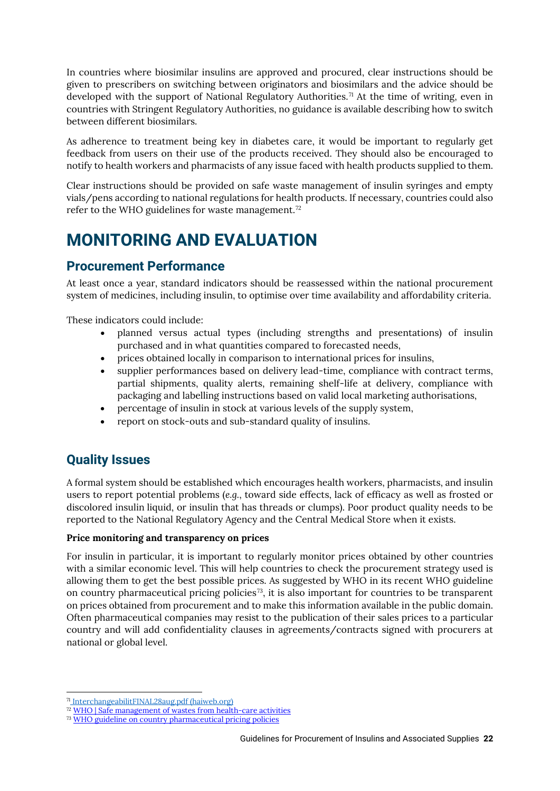In countries where biosimilar insulins are approved and procured, clear instructions should be given to prescribers on switching between originators and biosimilars and the advice should be developed with the support of National Regulatory Authorities.<sup>[71](#page-23-4)</sup> At the time of writing, even in countries with Stringent Regulatory Authorities, no guidance is available describing how to switch between different biosimilars.

As adherence to treatment being key in diabetes care, it would be important to regularly get feedback from users on their use of the products received. They should also be encouraged to notify to health workers and pharmacists of any issue faced with health products supplied to them.

Clear instructions should be provided on safe waste management of insulin syringes and empty vials/pens according to national regulations for health products. If necessary, countries could also refer to the WHO guidelines for waste management.<sup>[72](#page-23-5)</sup>

## <span id="page-23-0"></span>**MONITORING AND EVALUATION**

### <span id="page-23-1"></span>**Procurement Performance**

At least once a year, standard indicators should be reassessed within the national procurement system of medicines, including insulin, to optimise over time availability and affordability criteria.

These indicators could include:

- planned versus actual types (including strengths and presentations) of insulin purchased and in what quantities compared to forecasted needs,
- prices obtained locally in comparison to international prices for insulins,
- supplier performances based on delivery lead-time, compliance with contract terms, partial shipments, quality alerts, remaining shelf-life at delivery, compliance with packaging and labelling instructions based on valid local marketing authorisations,
- percentage of insulin in stock at various levels of the supply system,
- report on stock-outs and sub-standard quality of insulins.

### <span id="page-23-2"></span>**Quality Issues**

A formal system should be established which encourages health workers, pharmacists, and insulin users to report potential problems (*e.g.*, toward side effects, lack of efficacy as well as frosted or discolored insulin liquid, or insulin that has threads or clumps). Poor product quality needs to be reported to the National Regulatory Agency and the Central Medical Store when it exists.

### <span id="page-23-3"></span>**Price monitoring and transparency on prices**

For insulin in particular, it is important to regularly monitor prices obtained by other countries with a similar economic level. This will help countries to check the procurement strategy used is allowing them to get the best possible prices. As suggested by WHO in its recent WHO guideline on country pharmaceutical pricing policies[73,](#page-23-6) it is also important for countries to be transparent on prices obtained from procurement and to make this information available in the public domain. Often pharmaceutical companies may resist to the publication of their sales prices to a particular country and will add confidentiality clauses in agreements/contracts signed with procurers at national or global level.

<span id="page-23-4"></span><sup>71</sup> [InterchangeabilitFINAL28aug.pdf \(haiweb.org\)](https://accisstoolkit.haiweb.org/wp-content/uploads/2021/02/InterchangeabilitFINAL28aug.pdf)

<span id="page-23-5"></span><sup>&</sup>lt;sup>2</sup> [WHO | Safe management of wastes from health-care activities](https://www.who.int/water_sanitation_health/publications/wastemanag/en/)

<span id="page-23-6"></span><sup>73</sup> [WHO guideline on country pharmaceutical pricing policies](https://www.who.int/publications/i/item/9789240011878)